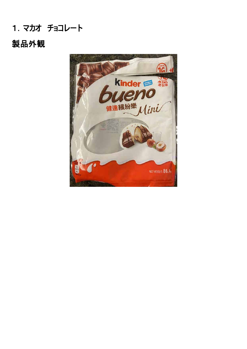# 1.マカオ チョコレート

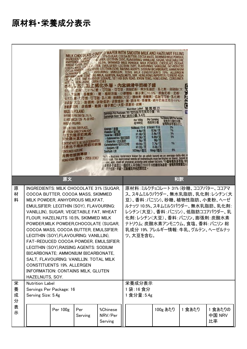|                                                                                                                                                                                                                                                                                                                                                                                                                                                                                                                                                                                                                                                           |                                                                          | 现位<br>日) 表味劑<br>朱百刀<br>卵磷脂 大豆)<br>WARS/ N - POLAND.<br><b>JONSUMER HOTLINE</b> | <b>HOT'. IN E. HONG KONG - 2956 0383</b><br>午票房古方加<br>: 少禾っ刀31%(糖<br>音易系<br><b>MADE N POLAND</b><br>BY FERRE O POLSKA Sp. z o. o.,<br>UL WIEF INICZA 126 - PL-02-952 -<br>STONE IN COOL DRY PLACE,<br><b>/ FROM DIRECT SUNLIGHT.</b><br>仔放於陰涼乾爽處<br>建免陽光直射。<br><b>CONTENT NOT TO BE SOLD SEPARATELY.</b><br><b>北產品不得拆開個別銷售</b><br>消費者服務專線:<br>HONG KONG香港 - 2956 0383 | 致敏原資料: 含奶類, 麩質·榛子果仁·大豆·原產地: 波蘭<br>Energy / 配置<br>Protein / 蛋白質<br><b>Total fat / 總脂肪</b><br>- Saturated fat / 飽和脂肪<br>- Trans fat / 反式脂肪<br>Carbohydrates/碳水化合物<br>- Sugars / 居<br>Sodium/訥                                                                                        | MILK CHOCOLATE-COVEPED WAFER WITH SMOOTH MILK AND HAZELNUT FILLING<br>INTER CHOCOCATE 31% (SUGAR, COCOA BUTTER, COCOA MASS, SKIMMED MILK POWDER,<br>INGREDIENTS, MILKFAT, ELITS IFIER: LECITHIN (SOY), FLAVOURING: VANILLIN), SUGAR, VEGETABLE FAT,<br>ANHYDROUS MIAZEL NUTS 10.5%, SKIMMED MILK POWDER, MILK POWDER, CHOCOLATE (SUGAR,<br>WHEAT FLUM COCOA BUTTER, EMULSIFIER: LECITHIN (SOY), FLAVOURING: VANILLIN), FAT-REDUCED<br>COCOA POWDER EMULSIFIER: LECITHIN (SOY), RAISING AGENTS: SODIUM BICARBONATE; AMMONIUM<br>BICARBONATE SALT, FLAVOURING: VANILLIN, TOTAL MILK CONSTITUENTS 19%, ALLERGEN<br>INFORMATION: CONTAINS MILK, GLUTEN, HAZELNUTS, SOY. HONG KONG IMPORTER: FERRERO ASIA<br>LIM, IT 2 11/F, ONE HARBOUR SQUARE, 181 HOI BUN ROAD, KWUN TONG, HONG KONG. CONSUMER<br>匕外層,内含綿滑午奶榛子醬<br>、可可脂·可可漿·脫脂奶粉·無水乳脂肪,乳化劑:卵磷脂(大<br>勿油脂・小麥麵粉・榛子果仁10.5%・脫脂奶粉・奶粉<br><b>患・可可漿・可可脂・乳化剤:卵磷脂(大豆)・調味剤:香蘭素)・低脂可可粉・乳化剤:</b><br>· 膨脹劑: 碳酸氫鈉: 碳酸氫銨 · 鹽 · 調味劑: 香蘭素 · 總牛奶組成部分19% ·<br>Nutrition Label 營養標示<br>Servings Per Package: 16 / 每包装所含食用分量: 16<br>Servings Size: 5.4g / 食用分量: 5.4克<br><b>Per 100g</b><br>每100克<br>568kcal / 千卡 31kcal / 千卡<br>8.69 / 72<br>37.3g/克<br>17.3g/克<br><b>0g/克</b><br>49.5g/克<br>41.2g/克<br>107mg/毫克<br>*NRV = Nutrient Reference Value for an adult based on an average daily diet of<br>2000 kcal. The nutritional needs of individuals may be higher or lower, based on<br>gender, age, level of physical activity and other factors. 中國營養素参考值=中<br>以一個成年人平均每日2000千卡的膳食為基礎。醫養素需要量因人<br><sub>理,</sub> 視乎 <b>性別、年齡、活動量及其他因素而定。</b> | <b><i>Achinese NRV Per Serving</i></b><br><b>Per Serving</b><br>医食用分量的中<br>每食用分量<br>参考值白分比<br>2%<br>$0.59$ /克<br>1%<br>2.0g/克<br>3%<br>5%<br>$0.99$ / 兄<br>0g/克<br><b>1%</b><br>2.7g/克<br>2.2g/兄<br>0%<br>6mg/毫克 | c      |                         |
|-----------------------------------------------------------------------------------------------------------------------------------------------------------------------------------------------------------------------------------------------------------------------------------------------------------------------------------------------------------------------------------------------------------------------------------------------------------------------------------------------------------------------------------------------------------------------------------------------------------------------------------------------------------|--------------------------------------------------------------------------|--------------------------------------------------------------------------------|-----------------------------------------------------------------------------------------------------------------------------------------------------------------------------------------------------------------------------------------------------------------------------------------------------------------------------------------------------------------------|------------------------------------------------------------------------------------------------------------------------------------------------------------------------------------------------------------------------------------------------------------------------------------|------------------------------------------------------------------------------------------------------------------------------------------------------------------------------------------------------------------------------------------------------------------------------------------------------------------------------------------------------------------------------------------------------------------------------------------------------------------------------------------------------------------------------------------------------------------------------------------------------------------------------------------------------------------------------------------------------------------------------------------------------------------------------------------------------------------------------------------------------------------------------------------------------------------------------------------------------------------------------------------------------------------------------------------------------------------------------------------------------------------------------------------------------------------------------------------------------------------------------------------------------------------------------------------------------------------------------------------------------------------------------------------------------------------------------------------------------------------------------------------------------------------------------------------------------------------------|------------------------------------------------------------------------------------------------------------------------------------------------------------------------------------------------------------------|--------|-------------------------|
|                                                                                                                                                                                                                                                                                                                                                                                                                                                                                                                                                                                                                                                           |                                                                          | 原文                                                                             |                                                                                                                                                                                                                                                                                                                                                                       |                                                                                                                                                                                                                                                                                    | 和訳                                                                                                                                                                                                                                                                                                                                                                                                                                                                                                                                                                                                                                                                                                                                                                                                                                                                                                                                                                                                                                                                                                                                                                                                                                                                                                                                                                                                                                                                                                                                                                     |                                                                                                                                                                                                                  |        |                         |
| 原<br>INGREDIENTS: MILK CHOCOLATE 31% (SUGAR,<br>材<br>COCOA BUTTER, COCOA MASS, SKIMMED<br>料<br>MILK POWDER, ANHYDROUS MILKFAT,<br>EMULSIFIER: LECITHIN (SOY), FLAVOURING:<br>VANILLIN), SUGAR, VEGETABLE FAT, WHEAT<br>FLOUR, HAZELNUTS 10.5%, SKIMMED MILK<br>POWDER, MILK POWDER, CHOCOLATE (SUGAR,<br>COCOA MASS, COCOA BUTTER, EMULSIFIER:<br>LECITHIN (SOY), FLAVOURING: VANILLIN),<br>FAT-REDUCED COCOA POWDER, EMULSIFIER:<br>LECITHIN (SOY), RAISING AGENTS: SODIUM<br>BICARBONATE; AMMONIUM BICARBONATE,<br>SALT, FLAVOURING: VANILLIN. TOTAL MILK<br><b>CONSTITUENTS 19%. ALLERGEN</b><br>INFORMATION: CONTAINS MILK, GLUTEN<br>HAZELNUTS, SOY. |                                                                          |                                                                                | ツ、大豆を含む。                                                                                                                                                                                                                                                                                                                                                              | 原材料 :ミルクチョコレート 31% (砂糖、ココアバター、ココアマ<br>ス、スキムミルクパウダー、無水乳脂肪、乳化剤:レシチン(大<br>豆)、香料:バニリン)、砂糖、植物性脂肪、小麦粉、ヘーゼ<br>ルナッツ 10.5%、スキムミルクパウダー、無水乳脂肪、乳化剤:<br>レシチン(大豆)、香料 : バニリン)、低脂肪ココアパウダー、乳<br>化剤:レシチン(大豆)、香料:バニリン、膨張剤:炭酸水素<br>ナトリウム; 炭酸水素アンモニウム、食塩、香料 : バニリン 総<br>乳成分 19%. アレルギー情報:牛乳、グルテン、ヘーゼルナッ |                                                                                                                                                                                                                                                                                                                                                                                                                                                                                                                                                                                                                                                                                                                                                                                                                                                                                                                                                                                                                                                                                                                                                                                                                                                                                                                                                                                                                                                                                                                                                                        |                                                                                                                                                                                                                  |        |                         |
| 栄<br>養<br>成<br>分<br>表<br>示                                                                                                                                                                                                                                                                                                                                                                                                                                                                                                                                                                                                                                | <b>Nutrition Label</b><br>Servings Per Package: 16<br>Serving Size: 5.4g |                                                                                |                                                                                                                                                                                                                                                                                                                                                                       | 栄養成分表示<br>1 袋:16 食分<br>1 食分量: 5.4g                                                                                                                                                                                                                                                 |                                                                                                                                                                                                                                                                                                                                                                                                                                                                                                                                                                                                                                                                                                                                                                                                                                                                                                                                                                                                                                                                                                                                                                                                                                                                                                                                                                                                                                                                                                                                                                        |                                                                                                                                                                                                                  |        |                         |
|                                                                                                                                                                                                                                                                                                                                                                                                                                                                                                                                                                                                                                                           | Per 100g<br>Per<br>%Chinese<br>NRV/Per<br>Serving<br>Serving             |                                                                                |                                                                                                                                                                                                                                                                                                                                                                       |                                                                                                                                                                                                                                                                                    |                                                                                                                                                                                                                                                                                                                                                                                                                                                                                                                                                                                                                                                                                                                                                                                                                                                                                                                                                                                                                                                                                                                                                                                                                                                                                                                                                                                                                                                                                                                                                                        | 100g あたり                                                                                                                                                                                                         | 1 食あたり | 1 食あたりの<br>中国 NRV<br>比率 |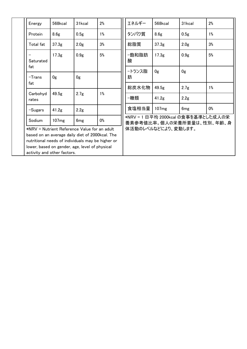|  | Energy                                                                                              | 568kcal           | 31kcal           | 2%    | エネルギー                                                            | 568kcal           | 31kcal           | 2%    |  |
|--|-----------------------------------------------------------------------------------------------------|-------------------|------------------|-------|------------------------------------------------------------------|-------------------|------------------|-------|--|
|  | Protein                                                                                             | 8.6 <sub>g</sub>  | 0.5 <sub>g</sub> | $1\%$ | タンパク質                                                            | 8.6 <sub>g</sub>  | 0.5 <sub>g</sub> | $1\%$ |  |
|  | Total fat                                                                                           | 37.3 <sub>g</sub> | 2.0 <sub>g</sub> | 3%    | 総脂質                                                              | 37.3 <sub>g</sub> | 2.0 <sub>g</sub> | 3%    |  |
|  | Saturated                                                                                           | 17.3 <sub>g</sub> | 0.9 <sub>g</sub> | 5%    | −飽和脂肪<br>酸                                                       | 17.3 <sub>g</sub> | 0.9 <sub>g</sub> | 5%    |  |
|  | fat                                                                                                 |                   |                  |       | −トランス脂                                                           | 0g                | 0 <sub>g</sub>   |       |  |
|  | $-Trans$<br>fat                                                                                     | 0g                | 0g               |       | 肪                                                                |                   |                  |       |  |
|  |                                                                                                     |                   |                  |       | 総炭水化物                                                            | 49.5 <sub>g</sub> | 2.7 <sub>g</sub> | 1%    |  |
|  | Carbohyd<br>rates                                                                                   | 49.5g             | 2.7 <sub>g</sub> | $1\%$ | −糖類                                                              | 41.2g             | 2.2g             |       |  |
|  | $-S$ ugars                                                                                          | 41.2 <sub>g</sub> | 2.2 <sub>g</sub> |       | 食塩相当量                                                            | 107mg             | 6 <sub>mg</sub>  | 0%    |  |
|  | Sodium                                                                                              | 107mg             | 6 <sub>mg</sub>  | 0%    | *NRV = 1 日平均 2000kcal の食事を基準とした成人の栄<br>養素参考値比率。個人の栄養所要量は、性別、年齢、身 |                   |                  |       |  |
|  | *NRV = Nutrient Reference Value for an adult                                                        |                   |                  |       | 体活動のレベルなどにより、変動します。                                              |                   |                  |       |  |
|  | based on an average daily diet of 2000 kcal. The                                                    |                   |                  |       |                                                                  |                   |                  |       |  |
|  | nutritional needs of individuals may be higher or<br>lower, based on gender, age, level of physical |                   |                  |       |                                                                  |                   |                  |       |  |
|  | activity and other factors.                                                                         |                   |                  |       |                                                                  |                   |                  |       |  |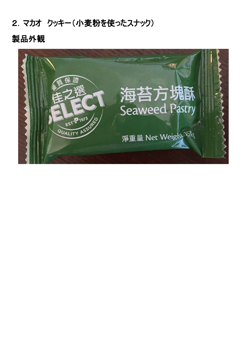## 2.マカオ クッキー(小麦粉を使ったスナック)

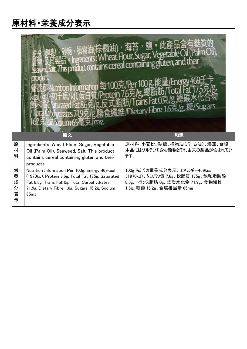|                            | hformation 每100克/Per 100g能量/E                                                                                                                                                                                 | ct contains cereal containing gluten, and<br>)ietary Fibre 1.6克/g, 糖                                                              |  |  |
|----------------------------|---------------------------------------------------------------------------------------------------------------------------------------------------------------------------------------------------------------|-----------------------------------------------------------------------------------------------------------------------------------|--|--|
|                            | 原文                                                                                                                                                                                                            | 和訳                                                                                                                                |  |  |
| 原<br>材<br>料                | Ingredients: Wheat Flour, Sugar, Vegetable<br>Oil (Palm Oil), Seaweed, Salt. This product<br>contains cereal containing gluten and their<br>products.                                                         | 原材料:小麦粉、砂糖、植物油(パーム油)、海藻、食塩。<br>本品にはグルテンを含む穀物とそれ由来の製品が含まれてい<br>ます。                                                                 |  |  |
| 栄<br>養<br>成<br>分<br>表<br>示 | Nutrition Information Per 100g, Energy 469kcal<br>(1970kJ), Protein 7.6g, Total Fat 175g, Saturated<br>Fat 8.6g, Trans Fat 0g, Total Carbohydrates<br>71.9g, Dietary Fibre 1.6g, Sugars 16.2g, Sodium<br>65mg | 100g あたりの栄養成分表示、エネルギー469kcal<br>(1970kJ)、タンパク質 7.6g、総脂質 175g、飽和脂肪酸<br>8.6g、トランス脂肪 0g、総炭水化物 71.9g、食物繊維<br>1.6g、糖類 16.2g、食塩相当量 65mg |  |  |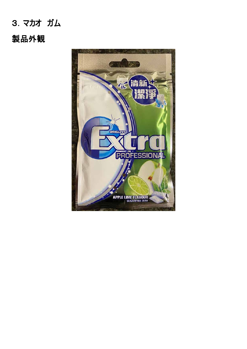# 3.マカオ ガム 製品外観

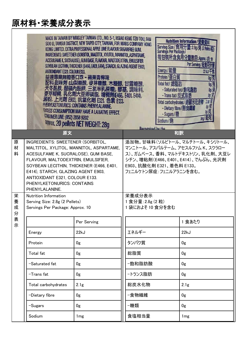|                  | ANTIOXIDANT E321, COLOUR E133.<br>   糖香口珠<br><b>CONSUMER LINE: (852) 2858 9202</b>                                                                                                                                                                                                                                            | MADE IN TAIWAN BY WRIGLEY TAIWAN LTD., NO. 5-1, HSIAO KENG TZU TOU, FAN<br>SOO LI, TAMSUI DISTRICT, NEW TAIPEI CITY, TAIWAN, FOR MARS COMPANY HONG<br>KONG LIMITED. EXTRA PROFESSIONAL APPLE LIME FLAVOUR SUGARFREE GUM.<br>INGREDIENTS: SWEETENER (SORBITOL, MALITTOL, XYLITOL, MANNITOL, ASPARTAME,<br>ACESULFAME K, SUCRALOSE), GUM BASE, FLAVOUR, MALTODEXTRIN, EMULSIFIER<br>SOVBEAN LECTHIN, THICKENER (E466, E401, E414), STARCH, GLAZING AGENT E903,<br>小诺里,日露<br>醋磺内酯种<br>精, 乳化劑大豆卵磷脂, 增稠劑(466, E401, E414),<br>殿粉, 上光劑 E903, 抗氧化劑 E321, 色素 E133.<br>PHENYLKETONURICS: CONTAINS PHENYLALANINE.<br><b>EXCESS CONSUMPTION MAY HAVE A LAXATIVE EFFECT.</b><br>approx. 20 pellets NET WEIGHT: 28g | Recognised by the | <b>Servings Per Package</b><br>每包装所含食用分<br>Energy/配置<br>Protein/蛋白質<br>Total fat/ 總脂肪<br>- Trans fat/反式脂肪<br>- Dietary fibre/膳食纖維<br>- Sugars/糖<br>Sodium/鈉 | <b>Nutrition Information/受</b><br>Serving Size / 食用分量: 2 & / 6 /<br>Per Serving<br>ln/5<br><b>M信</b><br>- Saturated fat/飽和脂肪<br>0g/克<br>Og/ft<br>21/5<br>Total carbohydrates/總碳水化合物<br><b>W/克</b> |
|------------------|-------------------------------------------------------------------------------------------------------------------------------------------------------------------------------------------------------------------------------------------------------------------------------------------------------------------------------|--------------------------------------------------------------------------------------------------------------------------------------------------------------------------------------------------------------------------------------------------------------------------------------------------------------------------------------------------------------------------------------------------------------------------------------------------------------------------------------------------------------------------------------------------------------------------------------------------------------------------------------------------------------------------------------------------------|-------------------|-------------------------------------------------------------------------------------------------------------------------------------------------------------|---------------------------------------------------------------------------------------------------------------------------------------------------------------------------------------------------|
|                  | 原文                                                                                                                                                                                                                                                                                                                            |                                                                                                                                                                                                                                                                                                                                                                                                                                                                                                                                                                                                                                                                                                        |                   | 和訳                                                                                                                                                          |                                                                                                                                                                                                   |
| 原<br>材<br>料      | INGREDIENTS: SWEETENER (SORBITOL,<br>MALTITOL, XYLITOL, MANNITOL, ASPARTAME,<br>ACESULFAME K, SUCRALOSE), GUM BASE,<br>FLAVOUR, MALTODEXTRIN, EMULSIFIER,<br>SOYBEAN LECITHIN, THICKENER (E466, E401,<br>E414), STARCH, GLAZING AGENT E903,<br>ANTIOXIDANT E321, COLOUR E133.<br>PHENYLKETONURICS: CONTAINS<br>PHENYLALANINE. | 添加物。甘味料(ソルビトール、マルチトール、キシリトール、<br>マンニトール、アスパルテーム、アセスルファム K、スクラロー<br>ス)、ガムベース、香料、マルトデキストリン、乳化剤、大豆レ<br>シチン、増粘剤(E466、E401、E414)、でんぷん、光沢剤<br>E903、抗酸化剤 E321、着色料 E133。<br>フェニルケトン尿症 :フェニルアラニンを含む。                                                                                                                                                                                                                                                                                                                                                                                                                                                                                                            |                   |                                                                                                                                                             |                                                                                                                                                                                                   |
| 栄<br>養<br>成<br>分 | Nutrition Information<br>Serving Size: 2.8g (2 Pellets)<br>Servings Per Package: Approx. 10                                                                                                                                                                                                                                   | 栄養成分表示<br>1食分量: 2.8g (2粒)<br>1袋におよそ 10 食分を含む                                                                                                                                                                                                                                                                                                                                                                                                                                                                                                                                                                                                                                                           |                   |                                                                                                                                                             |                                                                                                                                                                                                   |
| 表<br>示           |                                                                                                                                                                                                                                                                                                                               | Per Serving                                                                                                                                                                                                                                                                                                                                                                                                                                                                                                                                                                                                                                                                                            |                   |                                                                                                                                                             | 1 食あたり                                                                                                                                                                                            |
|                  | Energy                                                                                                                                                                                                                                                                                                                        | 22kJ                                                                                                                                                                                                                                                                                                                                                                                                                                                                                                                                                                                                                                                                                                   | エネルギー             |                                                                                                                                                             | 22kJ                                                                                                                                                                                              |
|                  | Protein                                                                                                                                                                                                                                                                                                                       | 0g                                                                                                                                                                                                                                                                                                                                                                                                                                                                                                                                                                                                                                                                                                     |                   |                                                                                                                                                             | 0g                                                                                                                                                                                                |
|                  | Total fat                                                                                                                                                                                                                                                                                                                     | 0g                                                                                                                                                                                                                                                                                                                                                                                                                                                                                                                                                                                                                                                                                                     | 総脂質               |                                                                                                                                                             | 0g                                                                                                                                                                                                |
|                  | -Saturated fat                                                                                                                                                                                                                                                                                                                | 0 <sub>g</sub>                                                                                                                                                                                                                                                                                                                                                                                                                                                                                                                                                                                                                                                                                         | −飽和脂肪酸            |                                                                                                                                                             | 0g                                                                                                                                                                                                |
|                  | -Trans fat                                                                                                                                                                                                                                                                                                                    | 0 <sub>g</sub>                                                                                                                                                                                                                                                                                                                                                                                                                                                                                                                                                                                                                                                                                         |                   |                                                                                                                                                             | 0g                                                                                                                                                                                                |
|                  | Total carbohydrates                                                                                                                                                                                                                                                                                                           | 2.1 <sub>g</sub>                                                                                                                                                                                                                                                                                                                                                                                                                                                                                                                                                                                                                                                                                       |                   |                                                                                                                                                             | 2.1 <sub>g</sub>                                                                                                                                                                                  |
|                  | -Dietary fibre                                                                                                                                                                                                                                                                                                                | 0g                                                                                                                                                                                                                                                                                                                                                                                                                                                                                                                                                                                                                                                                                                     |                   |                                                                                                                                                             | 0g                                                                                                                                                                                                |
|                  | -Sugars                                                                                                                                                                                                                                                                                                                       | 0g                                                                                                                                                                                                                                                                                                                                                                                                                                                                                                                                                                                                                                                                                                     | −糖類               |                                                                                                                                                             | 0g                                                                                                                                                                                                |
|                  | Sodium<br>1 <sub>mg</sub>                                                                                                                                                                                                                                                                                                     |                                                                                                                                                                                                                                                                                                                                                                                                                                                                                                                                                                                                                                                                                                        | 食塩相当量             |                                                                                                                                                             | 1 <sub>mg</sub>                                                                                                                                                                                   |

٦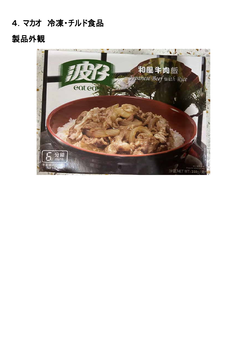# 4.マカオ 冷凍・チルド食品

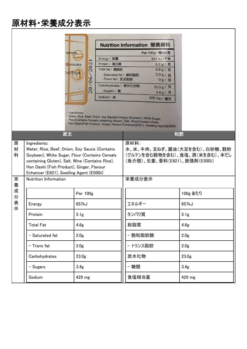|             |                                                                                                                                                                                                                                                             |                           | Nutrition Information 營養資料                   |                                                                                                                                                                                                                                 |                   |            |  |
|-------------|-------------------------------------------------------------------------------------------------------------------------------------------------------------------------------------------------------------------------------------------------------------|---------------------------|----------------------------------------------|---------------------------------------------------------------------------------------------------------------------------------------------------------------------------------------------------------------------------------|-------------------|------------|--|
|             | remove                                                                                                                                                                                                                                                      |                           |                                              | Per 100g / 每100克                                                                                                                                                                                                                |                   |            |  |
|             |                                                                                                                                                                                                                                                             | Energy / 能量<br>657 kJ /千焦 |                                              |                                                                                                                                                                                                                                 |                   |            |  |
|             | <b>6</b> minutes                                                                                                                                                                                                                                            | <b>CH</b>                 | Protein / 蛋白質<br>5.1g/克                      |                                                                                                                                                                                                                                 |                   |            |  |
|             | HOT!Let                                                                                                                                                                                                                                                     | $\overline{a}$            | Total fat / 總脂肪                              | 4.6g/克                                                                                                                                                                                                                          |                   |            |  |
|             |                                                                                                                                                                                                                                                             |                           | - Saturated fat / 飽和脂肪<br>- Trans fat / 反式脂肪 | 2.0g/克<br>0g/克                                                                                                                                                                                                                  |                   |            |  |
| 20/06/      |                                                                                                                                                                                                                                                             | Carbohydrates / 碳水化合物     | 23.0 g/克                                     |                                                                                                                                                                                                                                 |                   |            |  |
|             |                                                                                                                                                                                                                                                             | - Sugars / 糖              | 3.4g/克<br>429 mg / 毫克                        |                                                                                                                                                                                                                                 |                   |            |  |
|             |                                                                                                                                                                                                                                                             |                           |                                              |                                                                                                                                                                                                                                 |                   | Sodium / 鈉 |  |
|             |                                                                                                                                                                                                                                                             | Ingredients:              |                                              | Water, Rice, Beef, Onion, Soy Sauce(Contains Soybean), White Sugar,<br>Flour(Contains Cereals containing Gluten), Salt, Wine(Contains Rice),<br>Hon Dashi(Fish Product), Ginger, Flavour Enhancer(E621), Swelling Agent(E500ii) |                   |            |  |
|             | 原文                                                                                                                                                                                                                                                          |                           |                                              | 和訳                                                                                                                                                                                                                              |                   |            |  |
| 原<br>材<br>料 | Ingredients:<br>Water, Rice, Beef, Onion, Soy Sauce (Contains<br>Soybean), White Sugar, Flour (Contains Cereals<br>containing Gluten), Salt, Wine (Contains Rice),<br>Hon Dashi (Fish Product), Ginger, Flavour<br>Enhancer (E621), Swelling Agent (E500ii) |                           |                                              | 原材料:<br>水、米、牛肉、玉ねぎ、醤油(大豆を含む)、白砂糖、穀粉<br>(グルテンを含む穀物を含む)、食塩、酒(米を含む)、本だし<br>(魚介類)、生姜、香料(E621)、膨張剤(E500ii)                                                                                                                           |                   |            |  |
| 栄<br>養      | Nutrition Information                                                                                                                                                                                                                                       |                           |                                              | 栄養成分表示                                                                                                                                                                                                                          |                   |            |  |
| 成<br>分      |                                                                                                                                                                                                                                                             | Per 100g                  |                                              |                                                                                                                                                                                                                                 | 100g あたり          |            |  |
| 表<br>示      | Energy                                                                                                                                                                                                                                                      | 657kJ                     |                                              | エネルギー                                                                                                                                                                                                                           | 657kJ             |            |  |
|             | Protein                                                                                                                                                                                                                                                     | 5.1 <sub>g</sub>          |                                              | タンパク質                                                                                                                                                                                                                           | 5.1 <sub>g</sub>  |            |  |
|             | <b>Total Fat</b>                                                                                                                                                                                                                                            | 4.6 <sub>g</sub>          |                                              | 総脂質                                                                                                                                                                                                                             | 4.6 <sub>g</sub>  |            |  |
|             | - Saturated fat                                                                                                                                                                                                                                             | 2.0 <sub>g</sub>          |                                              | - 飽和脂肪酸                                                                                                                                                                                                                         | 2.0 <sub>g</sub>  |            |  |
|             | - Trans fat                                                                                                                                                                                                                                                 | 2.0 <sub>g</sub>          |                                              | - トランス脂肪                                                                                                                                                                                                                        | 2.0 <sub>g</sub>  |            |  |
|             | Carbohydrates                                                                                                                                                                                                                                               | 23.0 <sub>g</sub>         |                                              | 炭水化物                                                                                                                                                                                                                            | 23.0 <sub>g</sub> |            |  |
|             | - Sugars                                                                                                                                                                                                                                                    | 3.4 <sub>g</sub>          |                                              | - 糖類                                                                                                                                                                                                                            | 3.4 <sub>g</sub>  |            |  |
|             | Sodium                                                                                                                                                                                                                                                      | 429 mg                    |                                              | 食塩相当量                                                                                                                                                                                                                           | 429 mg            |            |  |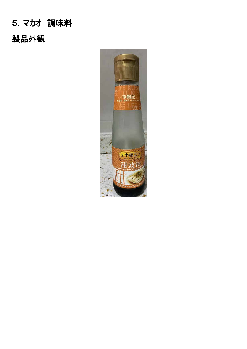# 5.マカオ 調味料